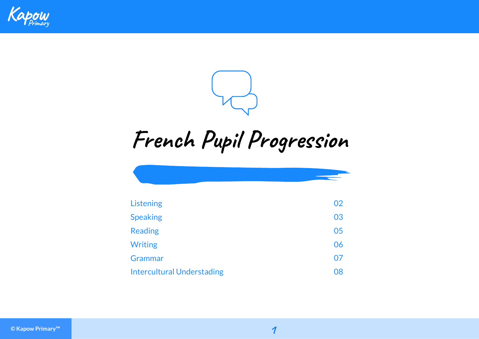



## **French Pupil Progression**

| Listening                         | 02 |
|-----------------------------------|----|
| <b>Speaking</b>                   | 03 |
| <b>Reading</b>                    | 05 |
| <b>Writing</b>                    | 06 |
| Grammar                           | 07 |
| <b>Intercultural Understading</b> | 08 |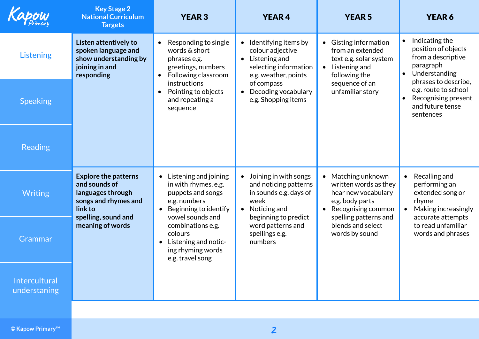| Kapow                         | <b>Key Stage 2</b><br><b>National Curriculum</b><br><b>Targets</b>                                                                              | <b>YEAR 3</b>                                                                                                                                             | <b>YEAR4</b>                                                                                                                                       | <b>YEAR 5</b>                                                                                                                                                | <b>YEAR 6</b>                                                                                                        |
|-------------------------------|-------------------------------------------------------------------------------------------------------------------------------------------------|-----------------------------------------------------------------------------------------------------------------------------------------------------------|----------------------------------------------------------------------------------------------------------------------------------------------------|--------------------------------------------------------------------------------------------------------------------------------------------------------------|----------------------------------------------------------------------------------------------------------------------|
| <b>Listening</b>              | Listen attentively to<br>spoken language and<br>show understanding by<br>joining in and<br>responding                                           | Responding to single<br>$\bullet$<br>words & short<br>phrases e.g.<br>greetings, numbers<br>Following classroom<br>$\bullet$                              | Identifying items by<br>colour adjective<br>Listening and<br>$\bullet$<br>selecting information<br>e.g. weather, points                            | • Gisting information<br>from an extended<br>text e.g. solar system<br>Listening and<br>$\bullet$<br>following the                                           | Indicating the<br>$\bullet$<br>position of objects<br>from a descriptive<br>paragraph<br>Understanding<br>$\bullet$  |
| <b>Speaking</b>               |                                                                                                                                                 | instructions<br>Pointing to objects<br>$\bullet$<br>and repeating a<br>sequence                                                                           | of compass<br>Decoding vocabulary<br>e.g. Shopping items                                                                                           | sequence of an<br>unfamiliar story                                                                                                                           | phrases to describe,<br>e.g. route to school<br>Recognising present<br>and future tense<br>sentences                 |
| <b>Reading</b>                |                                                                                                                                                 |                                                                                                                                                           |                                                                                                                                                    |                                                                                                                                                              |                                                                                                                      |
| <b>Writing</b>                | <b>Explore the patterns</b><br>and sounds of<br>languages through<br>songs and rhymes and<br>link to<br>spelling, sound and<br>meaning of words | Listening and joining<br>$\bullet$<br>in with rhymes, e.g.<br>puppets and songs<br>e.g. numbers<br>Beginning to identify<br>$\bullet$<br>vowel sounds and | Joining in with songs<br>$\bullet$<br>and noticing patterns<br>in sounds e.g. days of<br>week<br>Noticing and<br>$\bullet$<br>beginning to predict | Matching unknown<br>$\bullet$<br>written words as they<br>hear new vocabulary<br>e.g. body parts<br>Recognising common<br>$\bullet$<br>spelling patterns and | Recalling and<br>$\bullet$<br>performing an<br>extended song or<br>rhyme<br>Making increasingly<br>accurate attempts |
| Grammar                       |                                                                                                                                                 | combinations e.g.<br>colours<br>Listening and notic-<br>$\bullet$<br>ing rhyming words<br>e.g. travel song                                                | word patterns and<br>spellings e.g.<br>numbers                                                                                                     | blends and select<br>words by sound                                                                                                                          | to read unfamiliar<br>words and phrases                                                                              |
| Intercultural<br>understaning |                                                                                                                                                 |                                                                                                                                                           |                                                                                                                                                    |                                                                                                                                                              |                                                                                                                      |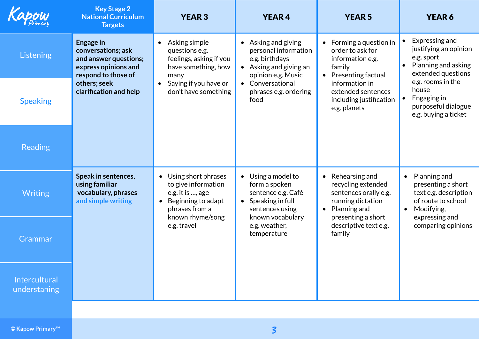|                               | <b>Key Stage 2</b><br><b>National Curriculum</b><br><b>Targets</b>                                                                                       | <b>YEAR 3</b>                                                                                                                    | <b>YEAR4</b>                                                                                                          | <b>YEAR 5</b>                                                                                                          | <b>YEAR 6</b>                                                                                                             |
|-------------------------------|----------------------------------------------------------------------------------------------------------------------------------------------------------|----------------------------------------------------------------------------------------------------------------------------------|-----------------------------------------------------------------------------------------------------------------------|------------------------------------------------------------------------------------------------------------------------|---------------------------------------------------------------------------------------------------------------------------|
| <b>Listening</b>              | <b>Engage in</b><br>conversations; ask<br>and answer questions;<br>express opinions and<br>respond to those of<br>others; seek<br>clarification and help | Asking simple<br>$\bullet$<br>questions e.g.<br>feelings, asking if you<br>have something, how<br>many                           | • Asking and giving<br>personal information<br>e.g. birthdays<br>• Asking and giving an<br>opinion e.g. Music         | $\bullet$ Forming a question in<br>order to ask for<br>information e.g.<br>family<br>• Presenting factual              | Expressing and<br>justifying an opinion<br>e.g. sport<br>Planning and asking<br>$\bullet$<br>extended questions           |
| <b>Speaking</b>               |                                                                                                                                                          | Saying if you have or<br>don't have something                                                                                    | Conversational<br>$\bullet$<br>phrases e.g. ordering<br>food                                                          | information in<br>extended sentences<br>including justification<br>e.g. planets                                        | e.g. rooms in the<br>house<br>Engaging in<br>$\bullet$<br>purposeful dialogue<br>e.g. buying a ticket                     |
| <b>Reading</b>                |                                                                                                                                                          |                                                                                                                                  |                                                                                                                       |                                                                                                                        |                                                                                                                           |
| <b>Writing</b>                | Speak in sentences,<br>using familiar<br>vocabulary, phrases<br>and simple writing                                                                       | Using short phrases<br>$\bullet$<br>to give information<br>e.g. it is , age<br>Beginning to adapt<br>$\bullet$<br>phrases from a | Using a model to<br>$\bullet$<br>form a spoken<br>sentence e.g. Café<br>$\bullet$ Speaking in full<br>sentences using | $\bullet$ Rehearsing and<br>recycling extended<br>sentences orally e.g.<br>running dictation<br>$\bullet$ Planning and | Planning and<br>$\bullet$<br>presenting a short<br>text e.g. description<br>of route to school<br>Modifying,<br>$\bullet$ |
| Grammar                       |                                                                                                                                                          | known rhyme/song<br>e.g. travel                                                                                                  | known vocabulary<br>e.g. weather,<br>temperature                                                                      | presenting a short<br>descriptive text e.g.<br>family                                                                  | expressing and<br>comparing opinions                                                                                      |
| Intercultural<br>understaning |                                                                                                                                                          |                                                                                                                                  |                                                                                                                       |                                                                                                                        |                                                                                                                           |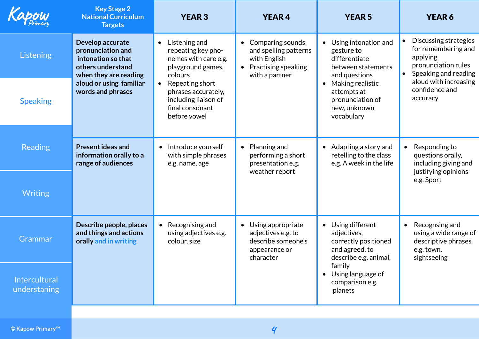| Kapow                         | <b>Key Stage 2</b><br><b>National Curriculum</b><br><b>Targets</b>                                                                                        | <b>YEAR 3</b>                                                                                                  | <b>YEAR4</b>                                                                                                    | <b>YEAR 5</b>                                                                                       | <b>YEAR 6</b>                                                                                                        |
|-------------------------------|-----------------------------------------------------------------------------------------------------------------------------------------------------------|----------------------------------------------------------------------------------------------------------------|-----------------------------------------------------------------------------------------------------------------|-----------------------------------------------------------------------------------------------------|----------------------------------------------------------------------------------------------------------------------|
| Listening                     | Develop accurate<br>pronunciation and<br>intonation so that<br>others understand<br>when they are reading<br>aloud or using familiar<br>words and phrases | Listening and<br>$\bullet$<br>repeating key pho-<br>nemes with care e.g.<br>playground games,<br>colours       | Comparing sounds<br>$\bullet$<br>and spelling patterns<br>with English<br>Practising speaking<br>with a partner | • Using intonation and<br>gesture to<br>differentiate<br>between statements<br>and questions        | Discussing strategies<br>for remembering and<br>applying<br>pronunciation rules<br>Speaking and reading<br>$\bullet$ |
| <b>Speaking</b>               |                                                                                                                                                           | Repeating short<br>$\bullet$<br>phrases accurately,<br>including liaison of<br>final consonant<br>before vowel | $\bullet$                                                                                                       | Making realistic<br>attempts at<br>pronunciation of<br>new, unknown<br>vocabulary                   | aloud with increasing<br>confidence and<br>accuracy                                                                  |
| <b>Reading</b>                | <b>Present ideas and</b><br>information orally to a<br>range of audiences                                                                                 | Introduce yourself<br>$\bullet$<br>with simple phrases<br>e.g. name, age                                       | Planning and<br>$\bullet$<br>performing a short<br>presentation e.g.<br>weather report                          | $\bullet$ Adapting a story and<br>retelling to the class<br>e.g. A week in the life                 | Responding to<br>$\bullet$<br>questions orally,<br>including giving and<br>justifying opinions                       |
| <b>Writing</b>                |                                                                                                                                                           |                                                                                                                |                                                                                                                 |                                                                                                     | e.g. Sport                                                                                                           |
| Grammar                       | Describe people, places<br>and things and actions<br>orally and in writing                                                                                | Recognising and<br>$\bullet$<br>using adjectives e.g.<br>colour, size                                          | Using appropriate<br>$\bullet$<br>adjectives e.g. to<br>describe someone's<br>appearance or<br>character        | • Using different<br>adjectives,<br>correctly positioned<br>and agreed, to<br>describe e.g. animal, | Recognsing and<br>$\bullet$<br>using a wide range of<br>descriptive phrases<br>e.g. town,<br>sightseeing             |
| Intercultural<br>understaning |                                                                                                                                                           |                                                                                                                |                                                                                                                 | family<br>• Using language of<br>comparison e.g.<br>planets                                         |                                                                                                                      |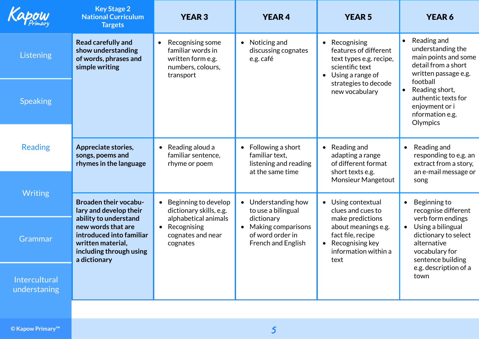| Kapow                         | <b>Key Stage 2</b><br><b>National Curriculum</b><br><b>Targets</b>                                                                      | <b>YEAR 3</b>                                                                                             | <b>YEAR4</b>                                                                                  | <b>YEAR 5</b>                                                                                                                | <b>YEAR 6</b>                                                                                                                     |
|-------------------------------|-----------------------------------------------------------------------------------------------------------------------------------------|-----------------------------------------------------------------------------------------------------------|-----------------------------------------------------------------------------------------------|------------------------------------------------------------------------------------------------------------------------------|-----------------------------------------------------------------------------------------------------------------------------------|
| <b>Listening</b>              | <b>Read carefully and</b><br>show understanding<br>of words, phrases and<br>simple writing                                              | Recognising some<br>$\bullet$<br>familiar words in<br>written form e.g.<br>numbers, colours,<br>transport | Noticing and<br>$\bullet$<br>discussing cognates<br>e.g. café                                 | • Recognising<br>features of different<br>text types e.g. recipe,<br>scientific text<br>Using a range of<br>$\bullet$        | Reading and<br>$\bullet$<br>understanding the<br>main points and some<br>detail from a short<br>written passage e.g.              |
| <b>Speaking</b>               |                                                                                                                                         |                                                                                                           |                                                                                               | strategies to decode<br>new vocabulary                                                                                       | football<br>Reading short,<br>authentic texts for<br>enjoyment or i<br>nformation e.g.<br>Olympics                                |
| <b>Reading</b>                | Appreciate stories,<br>songs, poems and<br>rhymes in the language                                                                       | Reading aloud a<br>$\bullet$<br>familiar sentence,<br>rhyme or poem                                       | Following a short<br>$\bullet$<br>familiar text,<br>listening and reading<br>at the same time | Reading and<br>$\bullet$<br>adapting a range<br>of different format<br>short texts e.g.<br><b>Monsieur Mangetout</b>         | Reading and<br>$\bullet$<br>responding to e.g. an<br>extract from a story,<br>an e-mail message or<br>song                        |
| <b>Writing</b>                | <b>Broaden their vocabu-</b><br>lary and develop their                                                                                  | Beginning to develop<br>$\bullet$<br>dictionary skills, e.g.                                              | Understanding how<br>$\bullet$<br>to use a bilingual                                          | • Using contextual<br>clues and cues to                                                                                      | Beginning to<br>$\bullet$<br>recognise different                                                                                  |
| Grammar                       | ability to understand<br>new words that are<br>introduced into familiar<br>written material,<br>including through using<br>a dictionary | alphabetical animals<br>Recognising<br>$\bullet$<br>cognates and near<br>cognates                         | dictionary<br>Making comparisons<br>of word order in<br>French and English                    | make predictions<br>about meanings e.g.<br>fact file, recipe<br>Recognising key<br>$\bullet$<br>information within a<br>text | verb form endings<br>Using a bilingual<br>$\bullet$<br>dictionary to select<br>alternative<br>vocabulary for<br>sentence building |
| Intercultural<br>understaning |                                                                                                                                         |                                                                                                           |                                                                                               |                                                                                                                              | e.g. description of a<br>town                                                                                                     |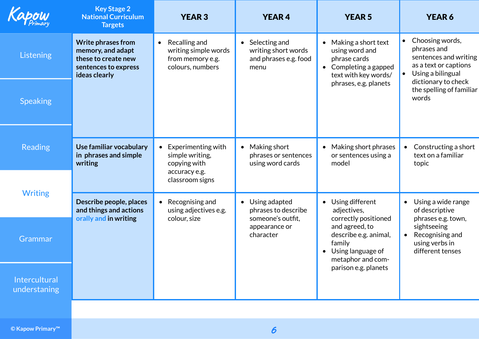|                               | <b>Key Stage 2</b><br><b>National Curriculum</b><br><b>Targets</b>                                             | <b>YEAR 3</b>                                                                              | <b>YEAR4</b>                                                                    | <b>YEAR 5</b>                                                                                                            | <b>YEAR 6</b>                                                                                                                |
|-------------------------------|----------------------------------------------------------------------------------------------------------------|--------------------------------------------------------------------------------------------|---------------------------------------------------------------------------------|--------------------------------------------------------------------------------------------------------------------------|------------------------------------------------------------------------------------------------------------------------------|
| Listening                     | <b>Write phrases from</b><br>memory, and adapt<br>these to create new<br>sentences to express<br>ideas clearly | Recalling and<br>$\bullet$<br>writing simple words<br>from memory e.g.<br>colours, numbers | $\bullet$ Selecting and<br>writing short words<br>and phrases e.g. food<br>menu | $\bullet$ Making a short text<br>using word and<br>phrase cards<br>$\bullet$ Completing a gapped<br>text with key words/ | Choosing words,<br>phrases and<br>sentences and writing<br>as a text or captions<br>Using a bilingual<br>dictionary to check |
| <b>Speaking</b>               |                                                                                                                |                                                                                            |                                                                                 | phrases, e.g. planets                                                                                                    | the spelling of familiar<br>words                                                                                            |
| <b>Reading</b>                | Use familiar vocabulary<br>in phrases and simple<br>writing                                                    | Experimenting with<br>$\bullet$<br>simple writing,<br>copying with                         | Making short<br>$\bullet$<br>phrases or sentences<br>using word cards           | • Making short phrases<br>or sentences using a<br>model                                                                  | Constructing a short<br>$\bullet$<br>text on a familiar<br>topic                                                             |
| <b>Writing</b>                |                                                                                                                | accuracy e.g.<br>classroom signs                                                           |                                                                                 |                                                                                                                          |                                                                                                                              |
|                               | Describe people, places<br>and things and actions                                                              | $\bullet$ Recognising and<br>using adjectives e.g.                                         | Using adapted<br>$\bullet$<br>phrases to describe                               | • Using different<br>adjectives,                                                                                         | Using a wide range<br>$\bullet$<br>of descriptive                                                                            |
| Grammar                       | orally and in writing                                                                                          | colour, size                                                                               | someone's outfit,<br>appearance or<br>character                                 | correctly positioned<br>and agreed, to<br>describe e.g. animal,<br>family<br>• Using language of<br>metaphor and com-    | phrases e.g. town,<br>sightseeing<br>Recognising and<br>using verbs in<br>different tenses                                   |
| Intercultural<br>understaning |                                                                                                                |                                                                                            |                                                                                 | parison e.g. planets                                                                                                     |                                                                                                                              |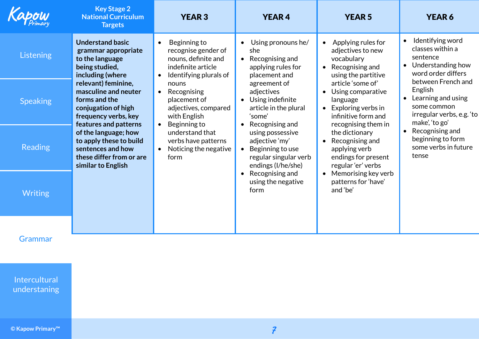|                 | <b>Key Stage 2</b><br><b>National Curriculum</b><br><b>Targets</b>                                                                                                                                                                                                                                                                                                        | <b>YEAR 3</b>                                                                                                                                                                                                                                                                          | <b>YEAR4</b>                                                                                     | <b>YEAR 5</b>                                                                                                                                    | <b>YEAR 6</b>                                                                                                                  |
|-----------------|---------------------------------------------------------------------------------------------------------------------------------------------------------------------------------------------------------------------------------------------------------------------------------------------------------------------------------------------------------------------------|----------------------------------------------------------------------------------------------------------------------------------------------------------------------------------------------------------------------------------------------------------------------------------------|--------------------------------------------------------------------------------------------------|--------------------------------------------------------------------------------------------------------------------------------------------------|--------------------------------------------------------------------------------------------------------------------------------|
| Listening       | <b>Understand basic</b><br>grammar appropriate<br>to the language<br>being studied,<br>including (where<br>relevant) feminine,<br>masculine and neuter<br>forms and the<br>conjugation of high<br>frequency verbs, key<br>features and patterns<br>of the language; how<br>to apply these to build<br>sentences and how<br>these differ from or are<br>similar to English | Beginning to<br>$\bullet$<br>recognise gender of<br>nouns, definite and<br>indefinite article<br>Identifying plurals of<br>$\bullet$                                                                                                                                                   | Using pronouns he/<br>$\bullet$<br>she<br>Recognising and<br>applying rules for<br>placement and | Applying rules for<br>$\bullet$<br>adjectives to new<br>vocabulary<br>Recognising and<br>$\bullet$<br>using the partitive                        | Identifying word<br>$\bullet$<br>classes within a<br>sentence<br>Understanding how<br>$\bullet$<br>word order differs          |
| <b>Speaking</b> |                                                                                                                                                                                                                                                                                                                                                                           | nouns<br>Recognising<br>adjectives<br>$\bullet$<br>placement of<br>$\bullet$<br>adjectives, compared<br>'some'<br>with English<br>Beginning to<br>$\bullet$                                                                                                                            | agreement of<br>Using indefinite<br>article in the plural<br>Recognising and                     | article 'some of'<br>Using comparative<br>$\bullet$<br>language<br>Exploring verbs in<br>$\bullet$<br>infinitive form and<br>recognising them in | between French and<br>English<br>Learning and using<br>$\bullet$<br>some common<br>irregular verbs, e.g. 'to<br>make', 'to go' |
| <b>Reading</b>  |                                                                                                                                                                                                                                                                                                                                                                           | understand that<br>the dictionary<br>using possessive<br>adjective 'my'<br>Recognising and<br>verbs have patterns<br>$\bullet$<br>Noticing the negative<br>Beginning to use<br>applying verb<br>$\bullet$<br>regular singular verb<br>form<br>endings (I/he/she)<br>regular 'er' verbs | endings for present                                                                              | Recognising and<br>$\bullet$<br>beginning to form<br>some verbs in future<br>tense                                                               |                                                                                                                                |
| <b>Writing</b>  |                                                                                                                                                                                                                                                                                                                                                                           |                                                                                                                                                                                                                                                                                        | Recognising and<br>$\bullet$<br>using the negative<br>form                                       | Memorising key verb<br>$\bullet$<br>patterns for 'have'<br>and 'be'                                                                              |                                                                                                                                |
| Grammar         |                                                                                                                                                                                                                                                                                                                                                                           |                                                                                                                                                                                                                                                                                        |                                                                                                  |                                                                                                                                                  |                                                                                                                                |

Grammar

Intercultural understaning